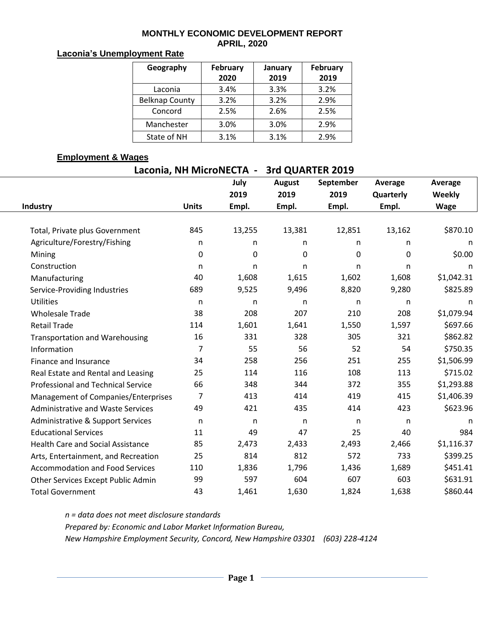#### **MONTHLY ECONOMIC DEVELOPMENT REPORT APRIL, 2020**

### **Laconia's Unemployment Rate**

| Geography             | February<br>2020 | January<br>2019 | February<br>2019 |
|-----------------------|------------------|-----------------|------------------|
| Laconia               | 3.4%             | 3.3%            | 3.2%             |
| <b>Belknap County</b> | 3.2%             | 3.2%            | 2.9%             |
| Concord               | 2.5%             | 2.6%            | 2.5%             |
| Manchester            | 3.0%             | 3.0%            | 2.9%             |
| State of NH           | 3.1%             | 3.1%            | 2.9%             |

### **Employment & Wages**

| Laconia, NH MicroNECTA -<br>3rd QUARTER 2019 |              |        |               |           |           |             |  |  |  |  |
|----------------------------------------------|--------------|--------|---------------|-----------|-----------|-------------|--|--|--|--|
|                                              |              | July   | <b>August</b> | September | Average   | Average     |  |  |  |  |
|                                              |              | 2019   | 2019          | 2019      | Quarterly | Weekly      |  |  |  |  |
| Industry                                     | <b>Units</b> | Empl.  | Empl.         | Empl.     | Empl.     | <b>Wage</b> |  |  |  |  |
|                                              |              |        |               |           |           |             |  |  |  |  |
| Total, Private plus Government               | 845          | 13,255 | 13,381        | 12,851    | 13,162    | \$870.10    |  |  |  |  |
| Agriculture/Forestry/Fishing                 | n            | n      | n.            | n         | n         | n           |  |  |  |  |
| Mining                                       | 0            | 0      | 0             | 0         | 0         | \$0.00      |  |  |  |  |
| Construction                                 | n            | n.     | n.            | n         | n         | n           |  |  |  |  |
| Manufacturing                                | 40           | 1,608  | 1,615         | 1,602     | 1,608     | \$1,042.31  |  |  |  |  |
| Service-Providing Industries                 | 689          | 9,525  | 9,496         | 8,820     | 9,280     | \$825.89    |  |  |  |  |
| <b>Utilities</b>                             | n            | n      | n             | n         | n         | n           |  |  |  |  |
| <b>Wholesale Trade</b>                       | 38           | 208    | 207           | 210       | 208       | \$1,079.94  |  |  |  |  |
| <b>Retail Trade</b>                          | 114          | 1,601  | 1,641         | 1,550     | 1,597     | \$697.66    |  |  |  |  |
| <b>Transportation and Warehousing</b>        | 16           | 331    | 328           | 305       | 321       | \$862.82    |  |  |  |  |
| Information                                  | 7            | 55     | 56            | 52        | 54        | \$750.35    |  |  |  |  |
| Finance and Insurance                        | 34           | 258    | 256           | 251       | 255       | \$1,506.99  |  |  |  |  |
| Real Estate and Rental and Leasing           | 25           | 114    | 116           | 108       | 113       | \$715.02    |  |  |  |  |
| Professional and Technical Service           | 66           | 348    | 344           | 372       | 355       | \$1,293.88  |  |  |  |  |
| Management of Companies/Enterprises          | 7            | 413    | 414           | 419       | 415       | \$1,406.39  |  |  |  |  |
| <b>Administrative and Waste Services</b>     | 49           | 421    | 435           | 414       | 423       | \$623.96    |  |  |  |  |
| Administrative & Support Services            | $\mathsf{n}$ | n      | $\mathsf{n}$  | n         | n         | n           |  |  |  |  |
| <b>Educational Services</b>                  | 11           | 49     | 47            | 25        | 40        | 984         |  |  |  |  |
| <b>Health Care and Social Assistance</b>     | 85           | 2,473  | 2,433         | 2,493     | 2,466     | \$1,116.37  |  |  |  |  |
| Arts, Entertainment, and Recreation          | 25           | 814    | 812           | 572       | 733       | \$399.25    |  |  |  |  |
| <b>Accommodation and Food Services</b>       | 110          | 1,836  | 1,796         | 1,436     | 1,689     | \$451.41    |  |  |  |  |
| Other Services Except Public Admin           | 99           | 597    | 604           | 607       | 603       | \$631.91    |  |  |  |  |
| <b>Total Government</b>                      | 43           | 1,461  | 1,630         | 1,824     | 1,638     | \$860.44    |  |  |  |  |

*n = data does not meet disclosure standards Prepared by: Economic and Labor Market Information Bureau, New Hampshire Employment Security, Concord, New Hampshire 03301 (603) 228-4124*